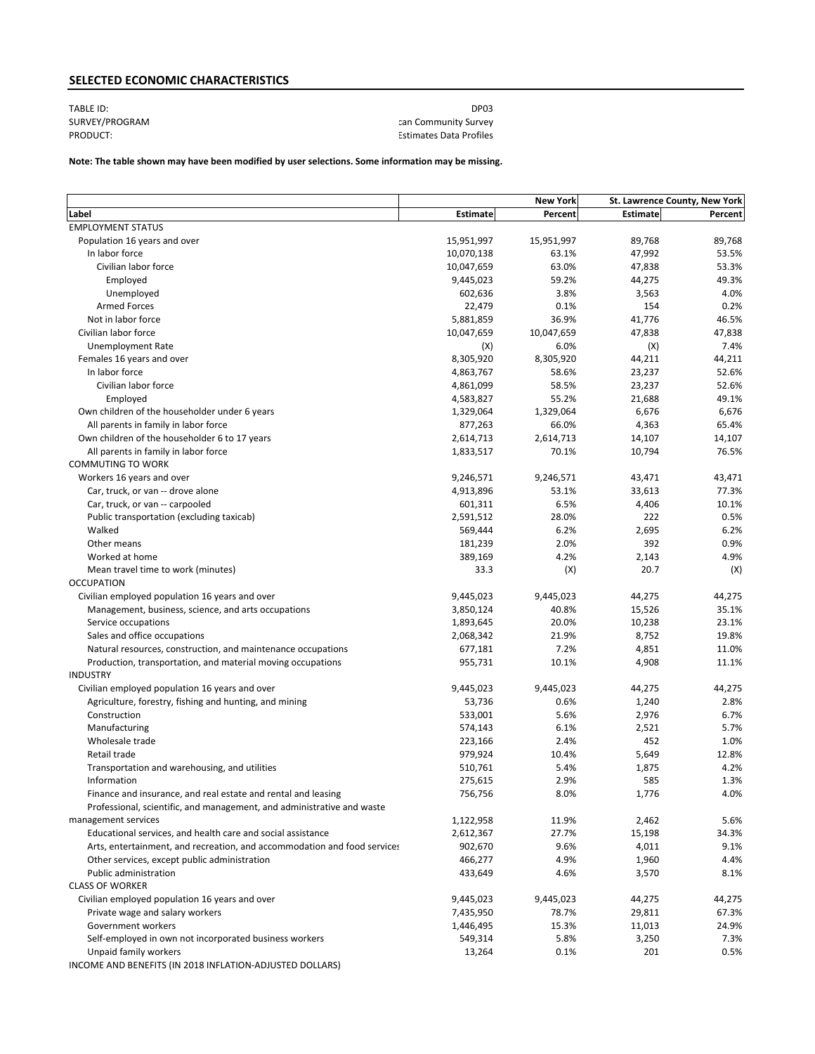# **SELECTED ECONOMIC CHARACTERISTICS**

## TABLE ID: DP03 SURVEY/PROGRAM COMMUNITY SURVEY/PROGRAM COMMUNITY SURVEY/PRODUCT: Estimates Data Profiles

## **Note: The table shown may have been modified by user selections. Some information may be missing.**

|                                                                          |            | <b>New York</b> |                 | St. Lawrence County, New York |
|--------------------------------------------------------------------------|------------|-----------------|-----------------|-------------------------------|
| Label                                                                    | Estimate   | Percent         | <b>Estimate</b> | Percent                       |
| <b>EMPLOYMENT STATUS</b>                                                 |            |                 |                 |                               |
| Population 16 years and over                                             | 15,951,997 | 15,951,997      | 89.768          | 89,768                        |
| In labor force                                                           | 10,070,138 | 63.1%           | 47,992          | 53.5%                         |
| Civilian labor force                                                     | 10,047,659 | 63.0%           | 47,838          | 53.3%                         |
| Employed                                                                 | 9,445,023  | 59.2%           | 44,275          | 49.3%                         |
| Unemployed                                                               | 602,636    | 3.8%            | 3,563           | 4.0%                          |
| <b>Armed Forces</b>                                                      | 22,479     | 0.1%            | 154             | 0.2%                          |
| Not in labor force                                                       | 5,881,859  | 36.9%           | 41,776          | 46.5%                         |
| Civilian labor force                                                     | 10,047,659 | 10,047,659      | 47,838          | 47,838                        |
| <b>Unemployment Rate</b>                                                 | (X)        | 6.0%            | (X)             | 7.4%                          |
| Females 16 years and over                                                | 8,305,920  | 8,305,920       | 44,211          | 44,211                        |
| In labor force                                                           | 4,863,767  | 58.6%           | 23,237          | 52.6%                         |
| Civilian labor force                                                     | 4,861,099  | 58.5%           | 23,237          | 52.6%                         |
| Employed                                                                 | 4,583,827  | 55.2%           | 21,688          | 49.1%                         |
| Own children of the householder under 6 years                            | 1,329,064  | 1,329,064       | 6,676           | 6,676                         |
| All parents in family in labor force                                     | 877,263    | 66.0%           | 4,363           | 65.4%                         |
| Own children of the householder 6 to 17 years                            | 2,614,713  | 2,614,713       | 14,107          | 14,107                        |
| All parents in family in labor force                                     | 1,833,517  | 70.1%           | 10,794          | 76.5%                         |
| <b>COMMUTING TO WORK</b>                                                 |            |                 |                 |                               |
| Workers 16 years and over                                                | 9,246,571  | 9,246,571       | 43,471          | 43,471                        |
| Car, truck, or van -- drove alone                                        | 4,913,896  | 53.1%           | 33,613          | 77.3%                         |
| Car, truck, or van -- carpooled                                          | 601,311    | 6.5%            | 4,406           | 10.1%                         |
| Public transportation (excluding taxicab)                                | 2,591,512  | 28.0%           | 222             | 0.5%                          |
| Walked                                                                   | 569,444    | 6.2%            | 2,695           | 6.2%                          |
| Other means                                                              | 181,239    | 2.0%            | 392             | 0.9%                          |
| Worked at home                                                           | 389,169    | 4.2%            | 2,143           | 4.9%                          |
| Mean travel time to work (minutes)                                       | 33.3       | (X)             | 20.7            | (X)                           |
| <b>OCCUPATION</b>                                                        |            |                 |                 |                               |
| Civilian employed population 16 years and over                           | 9,445,023  | 9,445,023       | 44,275          | 44,275                        |
| Management, business, science, and arts occupations                      | 3,850,124  | 40.8%           | 15,526          | 35.1%                         |
| Service occupations                                                      | 1,893,645  | 20.0%           | 10,238          | 23.1%                         |
| Sales and office occupations                                             | 2,068,342  | 21.9%           | 8,752           | 19.8%                         |
| Natural resources, construction, and maintenance occupations             | 677,181    | 7.2%            | 4,851           | 11.0%                         |
| Production, transportation, and material moving occupations              | 955,731    | 10.1%           | 4,908           | 11.1%                         |
| <b>INDUSTRY</b>                                                          |            |                 |                 |                               |
| Civilian employed population 16 years and over                           | 9,445,023  | 9,445,023       | 44,275          | 44,275                        |
| Agriculture, forestry, fishing and hunting, and mining                   | 53,736     | 0.6%            | 1,240           | 2.8%                          |
| Construction                                                             | 533,001    | 5.6%            | 2,976           | 6.7%                          |
| Manufacturing                                                            | 574,143    | 6.1%            | 2,521           | 5.7%                          |
| Wholesale trade                                                          | 223,166    | 2.4%            | 452             | 1.0%                          |
| Retail trade                                                             | 979,924    | 10.4%           | 5,649           | 12.8%                         |
| Transportation and warehousing, and utilities                            | 510,761    | 5.4%            | 1,875           | 4.2%                          |
| Information                                                              | 275,615    | 2.9%            | 585             | 1.3%                          |
| Finance and insurance, and real estate and rental and leasing            | 756,756    | 8.0%            | 1,776           | 4.0%                          |
| Professional, scientific, and management, and administrative and waste   |            |                 |                 |                               |
| management services                                                      | 1,122,958  | 11.9%           | 2,462           | 5.6%                          |
| Educational services, and health care and social assistance              | 2,612,367  | 27.7%           | 15,198          | 34.3%                         |
| Arts, entertainment, and recreation, and accommodation and food services | 902,670    | 9.6%            | 4,011           | 9.1%                          |
| Other services, except public administration                             | 466,277    | 4.9%            | 1,960           | 4.4%                          |
| Public administration                                                    | 433,649    | 4.6%            | 3,570           | 8.1%                          |
| <b>CLASS OF WORKER</b>                                                   |            |                 |                 |                               |
| Civilian employed population 16 years and over                           | 9,445,023  | 9,445,023       | 44,275          | 44,275                        |
| Private wage and salary workers                                          | 7,435,950  | 78.7%           | 29,811          | 67.3%                         |
| Government workers                                                       | 1,446,495  | 15.3%           | 11,013          | 24.9%                         |
| Self-employed in own not incorporated business workers                   | 549,314    | 5.8%            | 3,250           | 7.3%                          |
| Unpaid family workers                                                    | 13,264     | 0.1%            | 201             | 0.5%                          |
| INCOME AND BENEFITS (IN 2018 INFLATION-ADJUSTED DOLLARS)                 |            |                 |                 |                               |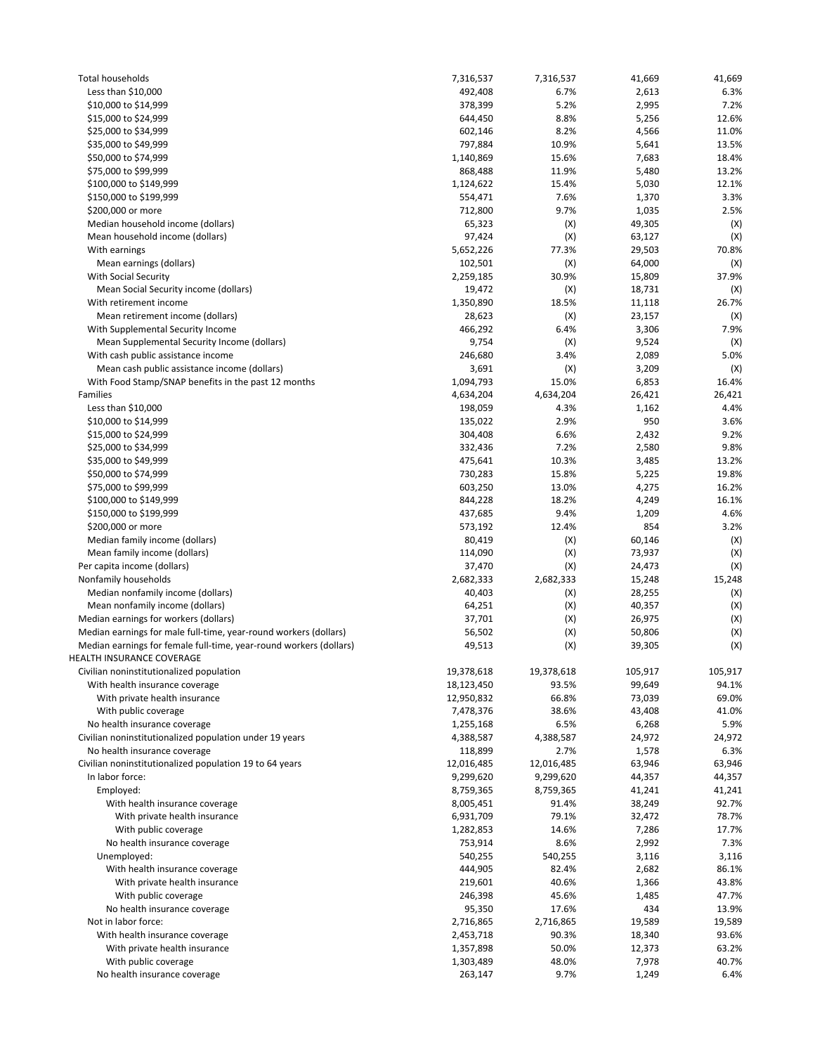| Total households                                                                 | 7,316,537        | 7,316,537   | 41,669         | 41,669      |
|----------------------------------------------------------------------------------|------------------|-------------|----------------|-------------|
| Less than $$10,000$                                                              | 492,408          | 6.7%        | 2,613          | 6.3%        |
| \$10,000 to \$14,999                                                             | 378,399          | 5.2%        | 2,995          | 7.2%        |
| \$15,000 to \$24,999                                                             | 644,450          | 8.8%        | 5,256          | 12.6%       |
| \$25,000 to \$34,999                                                             | 602,146          | 8.2%        | 4,566          | 11.0%       |
| \$35,000 to \$49,999                                                             | 797,884          | 10.9%       | 5,641          | 13.5%       |
| \$50,000 to \$74,999                                                             | 1,140,869        | 15.6%       | 7,683          | 18.4%       |
| \$75,000 to \$99,999                                                             | 868,488          | 11.9%       | 5,480          | 13.2%       |
| \$100,000 to \$149,999                                                           | 1,124,622        | 15.4%       | 5,030          | 12.1%       |
| \$150,000 to \$199,999                                                           | 554,471          | 7.6%        | 1,370          | 3.3%        |
| \$200,000 or more                                                                | 712,800          | 9.7%        | 1,035          | 2.5%        |
| Median household income (dollars)                                                | 65,323           | (X)         | 49,305         | (X)         |
| Mean household income (dollars)                                                  | 97,424           | (X)         | 63,127         | (X)         |
| With earnings                                                                    | 5,652,226        | 77.3%       | 29,503         | 70.8%       |
| Mean earnings (dollars)                                                          | 102,501          | (X)         | 64,000         | (X)         |
| <b>With Social Security</b>                                                      | 2,259,185        | 30.9%       | 15,809         | 37.9%       |
| Mean Social Security income (dollars)                                            | 19,472           | (X)         | 18,731         | (X)         |
| With retirement income                                                           | 1,350,890        | 18.5%       | 11,118         | 26.7%       |
| Mean retirement income (dollars)                                                 | 28,623           | (X)<br>6.4% | 23,157         | (X)<br>7.9% |
| With Supplemental Security Income<br>Mean Supplemental Security Income (dollars) | 466,292          |             | 3,306          |             |
| With cash public assistance income                                               | 9,754<br>246,680 | (X)<br>3.4% | 9,524<br>2,089 | (X)<br>5.0% |
| Mean cash public assistance income (dollars)                                     | 3,691            | (X)         | 3,209          | (X)         |
| With Food Stamp/SNAP benefits in the past 12 months                              | 1,094,793        | 15.0%       | 6,853          | 16.4%       |
| Families                                                                         | 4,634,204        | 4,634,204   | 26,421         | 26,421      |
| Less than \$10,000                                                               | 198,059          | 4.3%        | 1,162          | 4.4%        |
| \$10,000 to \$14,999                                                             | 135,022          | 2.9%        | 950            | 3.6%        |
| \$15,000 to \$24,999                                                             | 304,408          | 6.6%        | 2,432          | 9.2%        |
| \$25,000 to \$34,999                                                             | 332,436          | 7.2%        | 2,580          | 9.8%        |
| \$35,000 to \$49,999                                                             | 475,641          | 10.3%       | 3,485          | 13.2%       |
| \$50,000 to \$74,999                                                             | 730,283          | 15.8%       | 5,225          | 19.8%       |
| \$75,000 to \$99,999                                                             | 603,250          | 13.0%       | 4,275          | 16.2%       |
| \$100,000 to \$149,999                                                           | 844,228          | 18.2%       | 4,249          | 16.1%       |
| \$150,000 to \$199,999                                                           | 437,685          | 9.4%        | 1,209          | 4.6%        |
| \$200,000 or more                                                                | 573,192          | 12.4%       | 854            | 3.2%        |
| Median family income (dollars)                                                   | 80,419           | (X)         | 60,146         | (X)         |
| Mean family income (dollars)                                                     | 114,090          | (X)         | 73,937         | (X)         |
| Per capita income (dollars)                                                      | 37,470           | (X)         | 24,473         | (X)         |
| Nonfamily households                                                             | 2,682,333        | 2,682,333   | 15,248         | 15,248      |
| Median nonfamily income (dollars)                                                | 40,403           | (X)         | 28,255         | (X)         |
| Mean nonfamily income (dollars)                                                  | 64,251           | (X)         | 40,357         | (X)         |
| Median earnings for workers (dollars)                                            | 37,701           | (X)         | 26,975         | (X)         |
| Median earnings for male full-time, year-round workers (dollars)                 | 56,502           | (X)         | 50,806         | (X)         |
| Median earnings for female full-time, year-round workers (dollars)               | 49,513           | (X)         | 39,305         | (X)         |
| HEALTH INSURANCE COVERAGE                                                        |                  |             |                |             |
| Civilian noninstitutionalized population                                         | 19,378,618       | 19,378,618  | 105,917        | 105,917     |
| With health insurance coverage                                                   | 18,123,450       | 93.5%       | 99,649         | 94.1%       |
| With private health insurance                                                    | 12,950,832       | 66.8%       | 73,039         | 69.0%       |
| With public coverage                                                             | 7,478,376        | 38.6%       | 43,408         | 41.0%       |
| No health insurance coverage                                                     | 1,255,168        | 6.5%        | 6,268          | 5.9%        |
| Civilian noninstitutionalized population under 19 years                          | 4,388,587        | 4,388,587   | 24,972         | 24,972      |
| No health insurance coverage                                                     | 118,899          | 2.7%        | 1,578          | 6.3%        |
| Civilian noninstitutionalized population 19 to 64 years                          | 12,016,485       | 12,016,485  | 63,946         | 63,946      |
| In labor force:                                                                  | 9,299,620        | 9,299,620   | 44,357         | 44,357      |
| Employed:                                                                        | 8,759,365        | 8,759,365   | 41,241         | 41,241      |
| With health insurance coverage                                                   | 8,005,451        | 91.4%       | 38,249         | 92.7%       |
| With private health insurance                                                    | 6,931,709        | 79.1%       | 32,472         | 78.7%       |
| With public coverage                                                             | 1,282,853        | 14.6%       | 7,286          | 17.7%       |
| No health insurance coverage                                                     | 753,914          | 8.6%        | 2,992          | 7.3%        |
| Unemployed:                                                                      | 540,255          | 540,255     | 3,116          | 3,116       |
| With health insurance coverage                                                   | 444,905          | 82.4%       | 2,682          | 86.1%       |
| With private health insurance                                                    | 219,601          | 40.6%       | 1,366          | 43.8%       |
| With public coverage                                                             | 246,398          | 45.6%       | 1,485          | 47.7%       |
| No health insurance coverage                                                     | 95,350           | 17.6%       | 434            | 13.9%       |
| Not in labor force:                                                              | 2,716,865        | 2,716,865   | 19,589         | 19,589      |
| With health insurance coverage                                                   | 2,453,718        | 90.3%       | 18,340         | 93.6%       |
| With private health insurance                                                    | 1,357,898        | 50.0%       | 12,373         | 63.2%       |
| With public coverage                                                             | 1,303,489        | 48.0%       | 7,978          | 40.7%       |
| No health insurance coverage                                                     | 263,147          | 9.7%        | 1,249          | 6.4%        |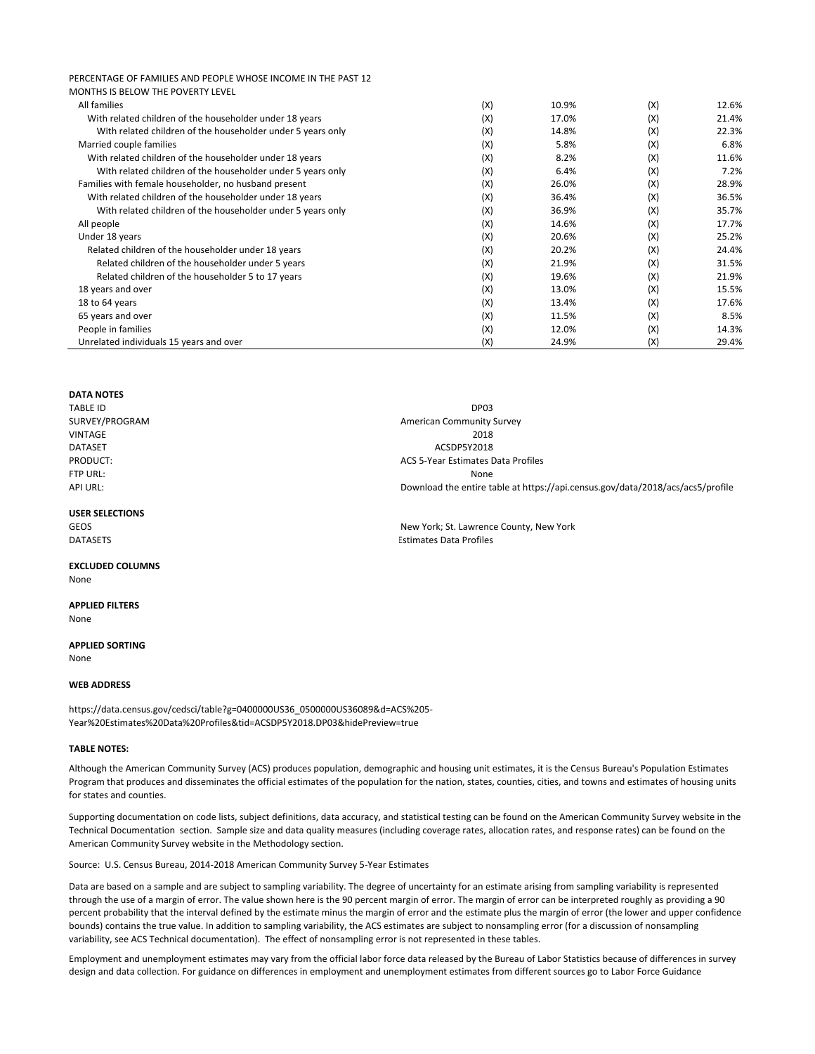| PERCENTAGE OF FAMILIES AND PEOPLE WHOSE INCOME IN THE PAST 12 |     |       |     |       |
|---------------------------------------------------------------|-----|-------|-----|-------|
| MONTHS IS BELOW THE POVERTY LEVEL                             |     |       |     |       |
| All families                                                  | (X) | 10.9% | (X) | 12.6% |
| With related children of the householder under 18 years       | (X) | 17.0% | (X) | 21.4% |
| With related children of the householder under 5 years only   | (X) | 14.8% | (X) | 22.3% |
| Married couple families                                       | (X) | 5.8%  | (X) | 6.8%  |
| With related children of the householder under 18 years       | (X) | 8.2%  | (X) | 11.6% |
| With related children of the householder under 5 years only   | (X) | 6.4%  | (X) | 7.2%  |
| Families with female householder, no husband present          | (X) | 26.0% | (X) | 28.9% |
| With related children of the householder under 18 years       | (X) | 36.4% | (X) | 36.5% |
| With related children of the householder under 5 years only   | (X) | 36.9% | (X) | 35.7% |
| All people                                                    | (X) | 14.6% | (X) | 17.7% |
| Under 18 years                                                | (X) | 20.6% | (X) | 25.2% |
| Related children of the householder under 18 years            | (X) | 20.2% | (X) | 24.4% |
| Related children of the householder under 5 years             | (X) | 21.9% | (X) | 31.5% |
| Related children of the householder 5 to 17 years             | (X) | 19.6% | (X) | 21.9% |
| 18 years and over                                             | (X) | 13.0% | (X) | 15.5% |
| 18 to 64 years                                                | (X) | 13.4% | (X) | 17.6% |
| 65 years and over                                             | (X) | 11.5% | (X) | 8.5%  |
| People in families                                            | (X) | 12.0% | (X) | 14.3% |
| Unrelated individuals 15 years and over                       | (X) | 24.9% | (X) | 29.4% |

## **DATA NOTES**

| <b>TABLE ID</b>        | DP03                                                                           |
|------------------------|--------------------------------------------------------------------------------|
| SURVEY/PROGRAM         | <b>American Community Survey</b>                                               |
| <b>VINTAGE</b>         | 2018                                                                           |
| <b>DATASET</b>         | ACSDP5Y2018                                                                    |
| PRODUCT:               | ACS 5-Year Estimates Data Profiles                                             |
| FTP URL:               | None                                                                           |
| <b>API URL:</b>        | Download the entire table at https://api.census.gov/data/2018/acs/acs5/profile |
| <b>USER SELECTIONS</b> |                                                                                |

### GEOS GEOS **GEOS GEOS STEP IS A SEXUAL SERVICE COUNTS AND MENU** New York; St. Lawrence County, New York DATASETS Estimates Data Profiles

**EXCLUDED COLUMNS** None

### **APPLIED FILTERS**

None

# **APPLIED SORTING**

None

### **WEB ADDRESS**

https://data.census.gov/cedsci/table?g=0400000US36\_0500000US36089&d=ACS%205‐ Year%20Estimates%20Data%20Profiles&tid=ACSDP5Y2018.DP03&hidePreview=true

#### **TABLE NOTES:**

Although the American Community Survey (ACS) produces population, demographic and housing unit estimates, it is the Census Bureau's Population Estimates Program that produces and disseminates the official estimates of the population for the nation, states, counties, cities, and towns and estimates of housing units for states and counties.

Supporting documentation on code lists, subject definitions, data accuracy, and statistical testing can be found on the American Community Survey website in the Technical Documentation section. Sample size and data quality measures (including coverage rates, allocation rates, and response rates) can be found on the American Community Survey website in the Methodology section.

Source: U.S. Census Bureau, 2014‐2018 American Community Survey 5‐Year Estimates

Data are based on a sample and are subject to sampling variability. The degree of uncertainty for an estimate arising from sampling variability is represented through the use of a margin of error. The value shown here is the 90 percent margin of error. The margin of error can be interpreted roughly as providing a 90 percent probability that the interval defined by the estimate minus the margin of error and the estimate plus the margin of error (the lower and upper confidence bounds) contains the true value. In addition to sampling variability, the ACS estimates are subject to nonsampling error (for a discussion of nonsampling variability, see ACS Technical documentation). The effect of nonsampling error is not represented in these tables.

Employment and unemployment estimates may vary from the official labor force data released by the Bureau of Labor Statistics because of differences in survey design and data collection. For guidance on differences in employment and unemployment estimates from different sources go to Labor Force Guidance